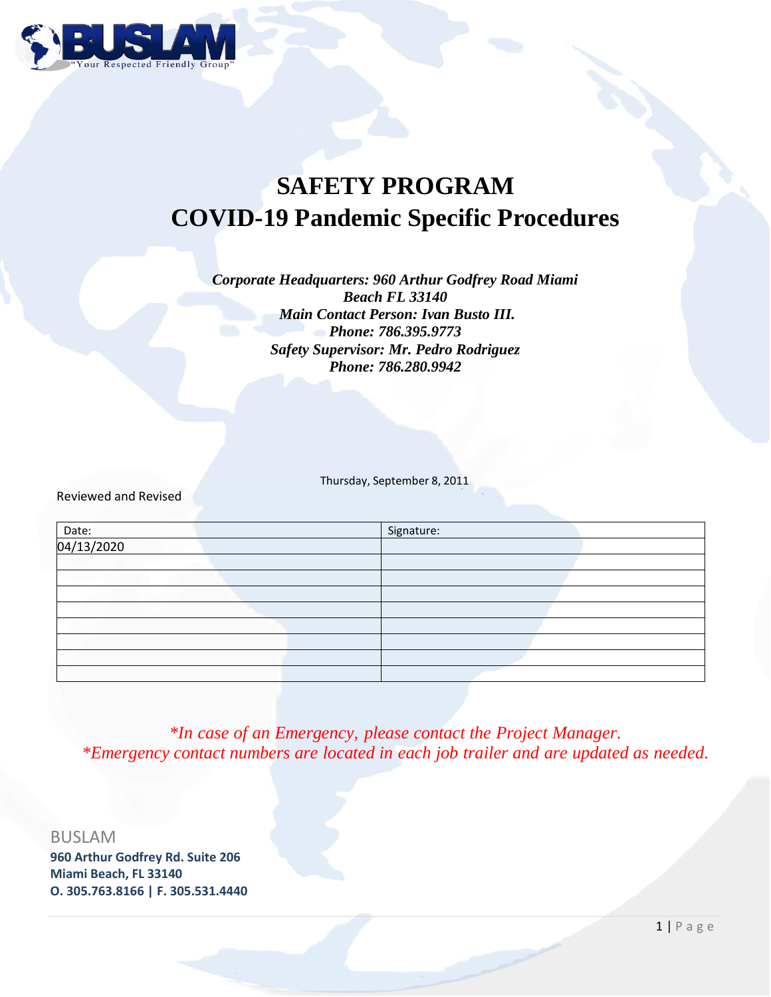

# **SAFETY PROGRAM COVID-19 Pandemic Specific Procedures**

*Corporate Headquarters: 960 Arthur Godfrey Road Miami Beach FL 33140 Main Contact Person: Ivan Busto III. Phone: 786.395.9773 Safety Supervisor: Mr. Pedro Rodriguez Phone: 786.280.9942*

Thursday, September 8, 2011

Reviewed and Revised

|                     | Signature: |
|---------------------|------------|
| Date:<br>04/13/2020 |            |
|                     |            |
|                     |            |
|                     |            |
|                     |            |
|                     |            |
|                     |            |
|                     |            |
|                     |            |

*\*In case of an Emergency, please contact the Project Manager. \*Emergency contact numbers are located in each job trailer and are updated as needed.*

BUSLAM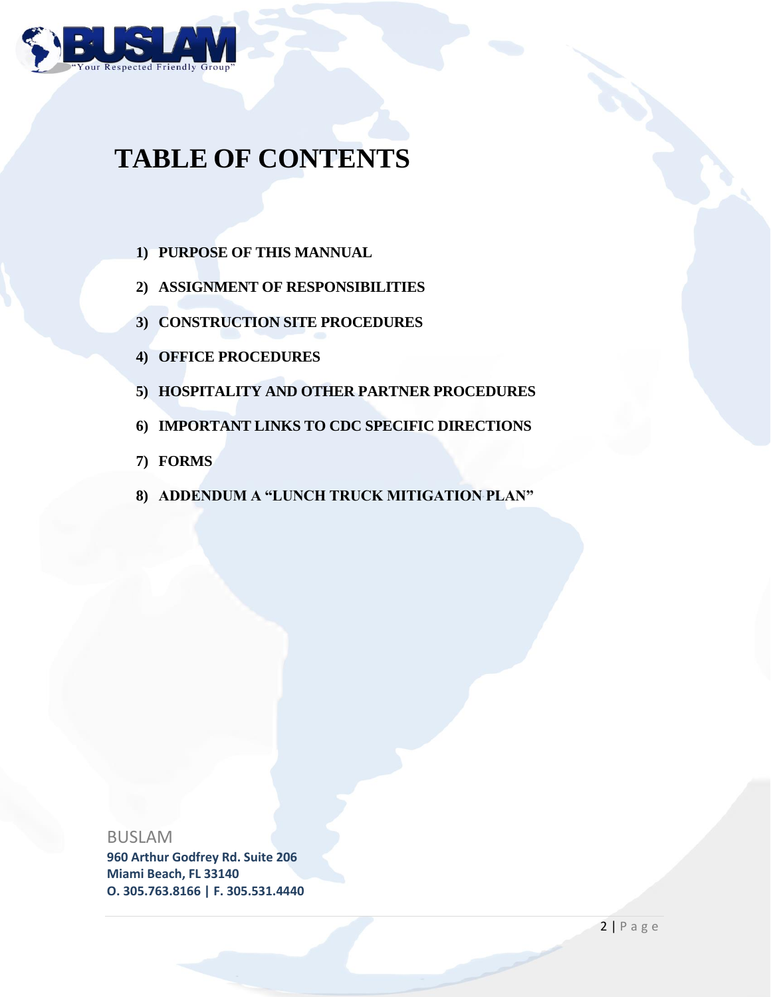

# **TABLE OF CONTENTS**

- **1) PURPOSE OF THIS MANNUAL**
- **2) ASSIGNMENT OF RESPONSIBILITIES**
- **3) CONSTRUCTION SITE PROCEDURES**
- **4) OFFICE PROCEDURES**
- **5) HOSPITALITY AND OTHER PARTNER PROCEDURES**
- **6) IMPORTANT LINKS TO CDC SPECIFIC DIRECTIONS**
- **7) FORMS**
- **8) ADDENDUM A "LUNCH TRUCK MITIGATION PLAN"**

## BUSLAM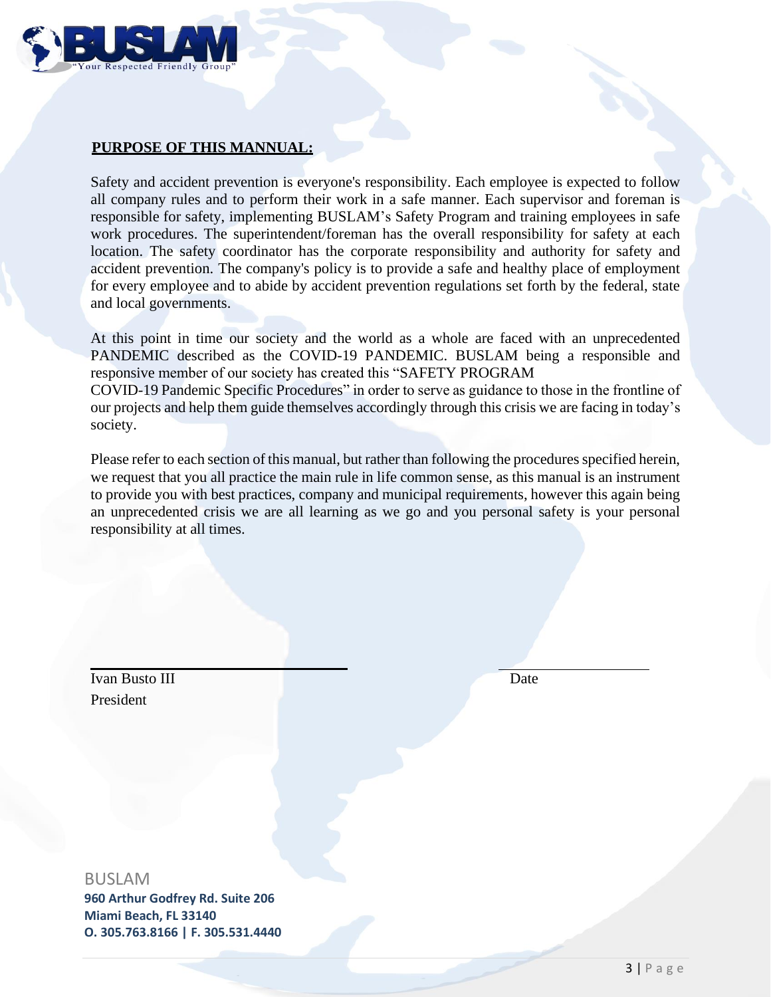

# **PURPOSE OF THIS MANNUAL:**

Safety and accident prevention is everyone's responsibility. Each employee is expected to follow all company rules and to perform their work in a safe manner. Each supervisor and foreman is responsible for safety, implementing BUSLAM's Safety Program and training employees in safe work procedures. The superintendent/foreman has the overall responsibility for safety at each location. The safety coordinator has the corporate responsibility and authority for safety and accident prevention. The company's policy is to provide a safe and healthy place of employment for every employee and to abide by accident prevention regulations set forth by the federal, state and local governments.

At this point in time our society and the world as a whole are faced with an unprecedented PANDEMIC described as the COVID-19 PANDEMIC. BUSLAM being a responsible and responsive member of our society has created this "SAFETY PROGRAM COVID-19 Pandemic Specific Procedures" in order to serve as guidance to those in the frontline of our projects and help them guide themselves accordingly through this crisis we are facing in today's society.

Please refer to each section of this manual, but rather than following the procedures specified herein, we request that you all practice the main rule in life common sense, as this manual is an instrument to provide you with best practices, company and municipal requirements, however this again being an unprecedented crisis we are all learning as we go and you personal safety is your personal responsibility at all times.

Ivan Busto III Date President

# BUSLAM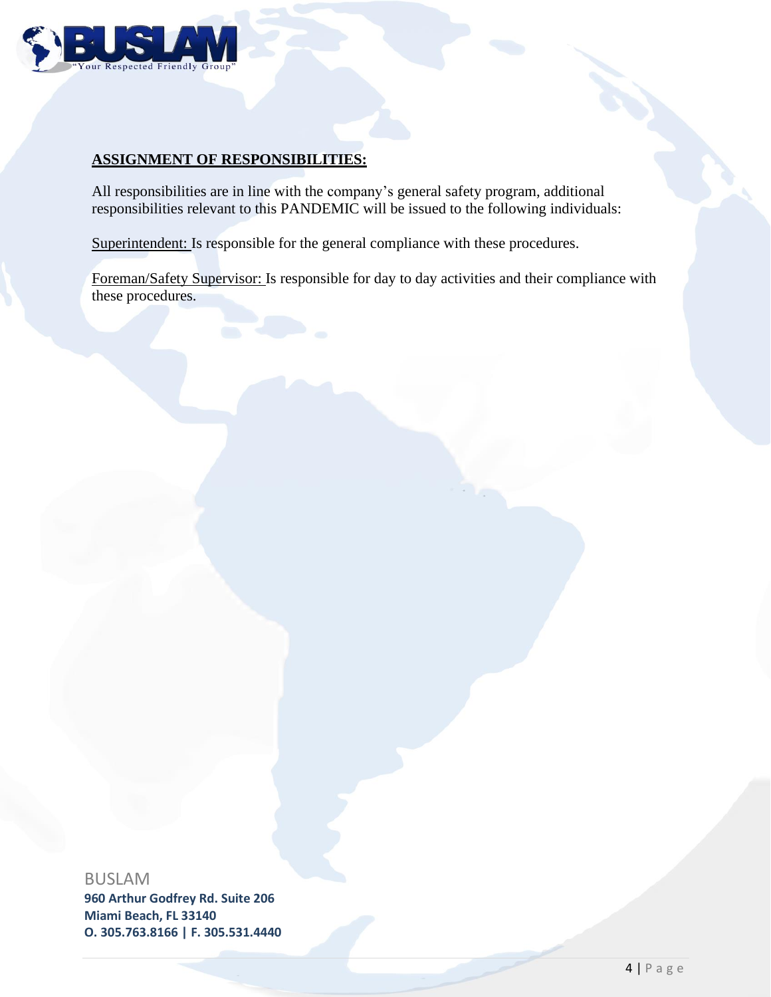

# **ASSIGNMENT OF RESPONSIBILITIES:**

All responsibilities are in line with the company's general safety program, additional responsibilities relevant to this PANDEMIC will be issued to the following individuals:

Superintendent: Is responsible for the general compliance with these procedures.

Foreman/Safety Supervisor: Is responsible for day to day activities and their compliance with these procedures.

BUSLAM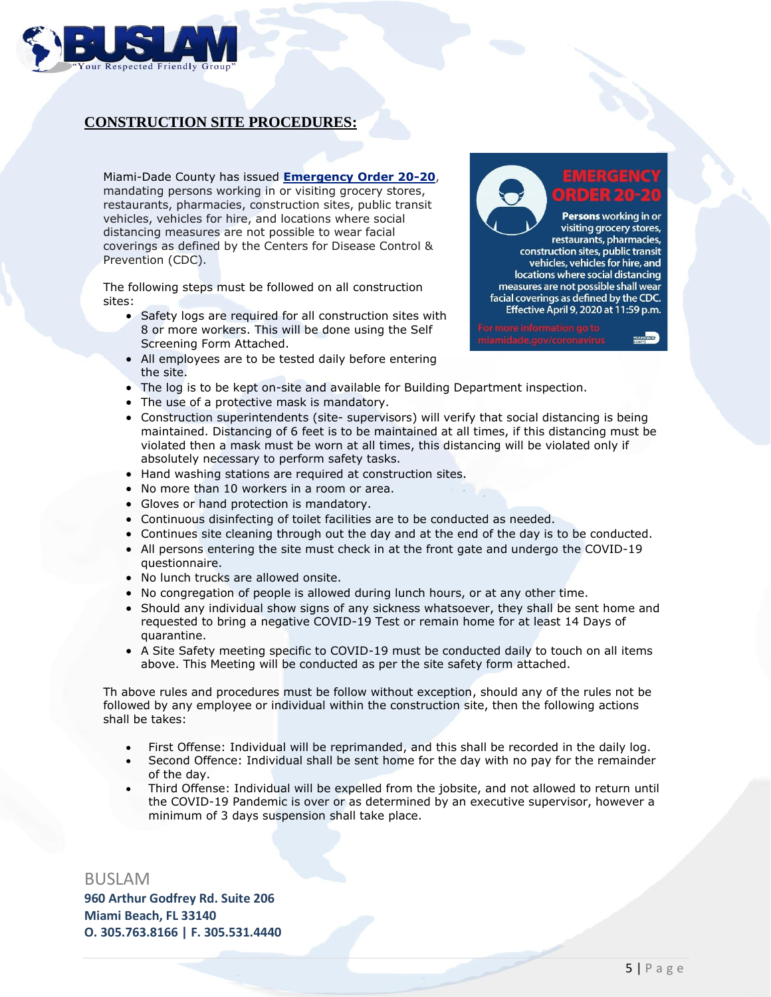

# **CONSTRUCTION SITE PROCEDURES:**

Miami-Dade County has issued **Emergency Order 20-20**, mandating persons working in or visiting grocery stores, restaurants, pharmacies, construction sites, public transit vehicles, vehicles for hire, and locations where social distancing measures are not possible to wear facial coverings as defined by the Centers for Disease Control & Prevention (CDC).

The following steps must be followed on all construction sites:

- Safety logs are required for all construction sites with 8 or more workers. This will be done using the Self Screening Form Attached.
- All employees are to be tested daily before entering the site.
- The log is to be kept on-site and available for Building Department inspection.
- The use of a protective mask is mandatory.
- Construction superintendents (site- supervisors) will verify that social distancing is being maintained. Distancing of 6 feet is to be maintained at all times, if this distancing must be violated then a mask must be worn at all times, this distancing will be violated only if absolutely necessary to perform safety tasks.
- Hand washing stations are required at construction sites.
- No more than 10 workers in a room or area.
- Gloves or hand protection is mandatory.
- Continuous disinfecting of toilet facilities are to be conducted as needed.
- Continues site cleaning through out the day and at the end of the day is to be conducted.
- All persons entering the site must check in at the front gate and undergo the COVID-19 questionnaire.
- No lunch trucks are allowed onsite.
- No congregation of people is allowed during lunch hours, or at any other time.
- Should any individual show signs of any sickness whatsoever, they shall be sent home and requested to bring a negative COVID-19 Test or remain home for at least 14 Days of quarantine.
- A Site Safety meeting specific to COVID-19 must be conducted daily to touch on all items above. This Meeting will be conducted as per the site safety form attached.

Th above rules and procedures must be follow without exception, should any of the rules not be followed by any employee or individual within the construction site, then the following actions shall be takes:

- First Offense: Individual will be reprimanded, and this shall be recorded in the daily log.
- Second Offence: Individual shall be sent home for the day with no pay for the remainder of the day.
- Third Offense: Individual will be expelled from the jobsite, and not allowed to return until the COVID-19 Pandemic is over or as determined by an executive supervisor, however a minimum of 3 days suspension shall take place.

BUSLAM

**960 Arthur Godfrey Rd. Suite 206 Miami Beach, FL 33140 O. 305.763.8166 | F. 305.531.4440**

Persons working in or visiting grocery stores, restaurants, pharmacies, construction sites, public transit vehicles, vehicles for hire, and locations where social distancing measures are not possible shall wear facial coverings as defined by the CDC. Effective April 9, 2020 at 11:59 p.m.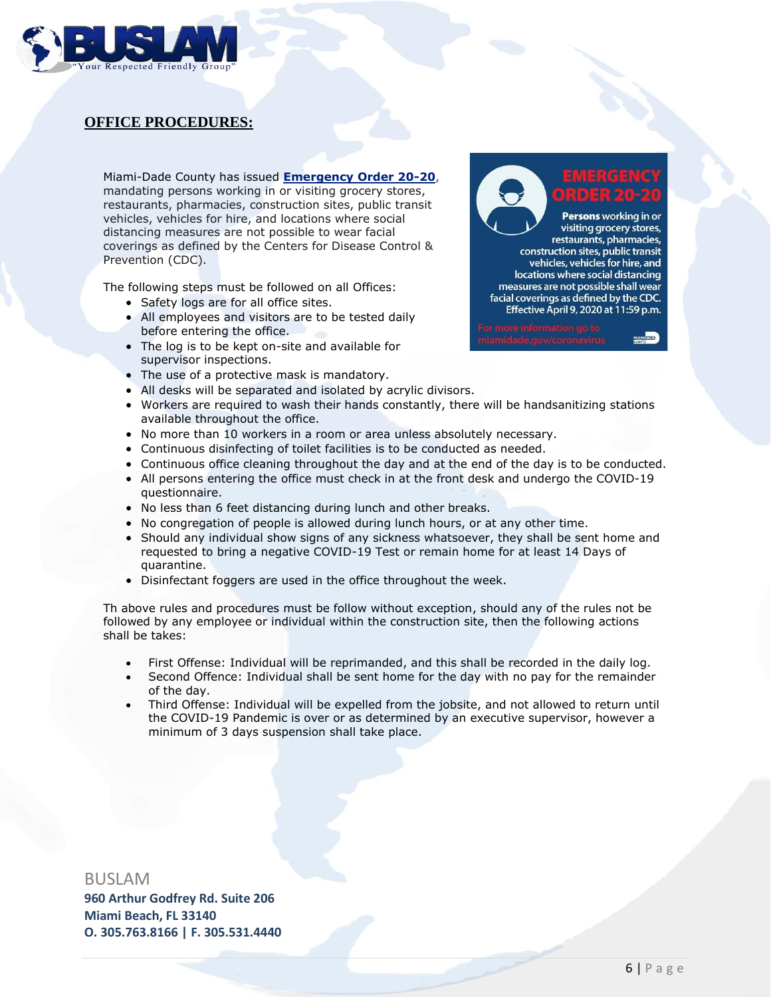

# **OFFICE PROCEDURES:**

Miami-Dade County has issued **Emergency Order 20-20**, mandating persons working in or visiting grocery stores, restaurants, pharmacies, construction sites, public transit vehicles, vehicles for hire, and locations where social distancing measures are not possible to wear facial coverings as defined by the Centers for Disease Control & Prevention (CDC).

The following steps must be followed on all Offices:

- Safety logs are for all office sites.
- All employees and visitors are to be tested daily before entering the office.
- The log is to be kept on-site and available for supervisor inspections.
- The use of a protective mask is mandatory.
- All desks will be separated and isolated by acrylic divisors.
- Workers are required to wash their hands constantly, there will be handsanitizing stations available throughout the office.
- No more than 10 workers in a room or area unless absolutely necessary.
- Continuous disinfecting of toilet facilities is to be conducted as needed.
- Continuous office cleaning throughout the day and at the end of the day is to be conducted.
- All persons entering the office must check in at the front desk and undergo the COVID-19 questionnaire.
- No less than 6 feet distancing during lunch and other breaks.
- No congregation of people is allowed during lunch hours, or at any other time.
- Should any individual show signs of any sickness whatsoever, they shall be sent home and requested to bring a negative COVID-19 Test or remain home for at least 14 Days of quarantine.
- Disinfectant foggers are used in the office throughout the week.

Th above rules and procedures must be follow without exception, should any of the rules not be followed by any employee or individual within the construction site, then the following actions shall be takes:

- First Offense: Individual will be reprimanded, and this shall be recorded in the daily log.
- Second Offence: Individual shall be sent home for the day with no pay for the remainder of the day.
- Third Offense: Individual will be expelled from the jobsite, and not allowed to return until the COVID-19 Pandemic is over or as determined by an executive supervisor, however a minimum of 3 days suspension shall take place.

BUSLAM

**960 Arthur Godfrey Rd. Suite 206 Miami Beach, FL 33140 O. 305.763.8166 | F. 305.531.4440**

Persons working in or visiting grocery stores, restaurants, pharmacies, construction sites, public transit vehicles, vehicles for hire, and locations where social distancing measures are not possible shall wear facial coverings as defined by the CDC. Effective April 9, 2020 at 11:59 p.m.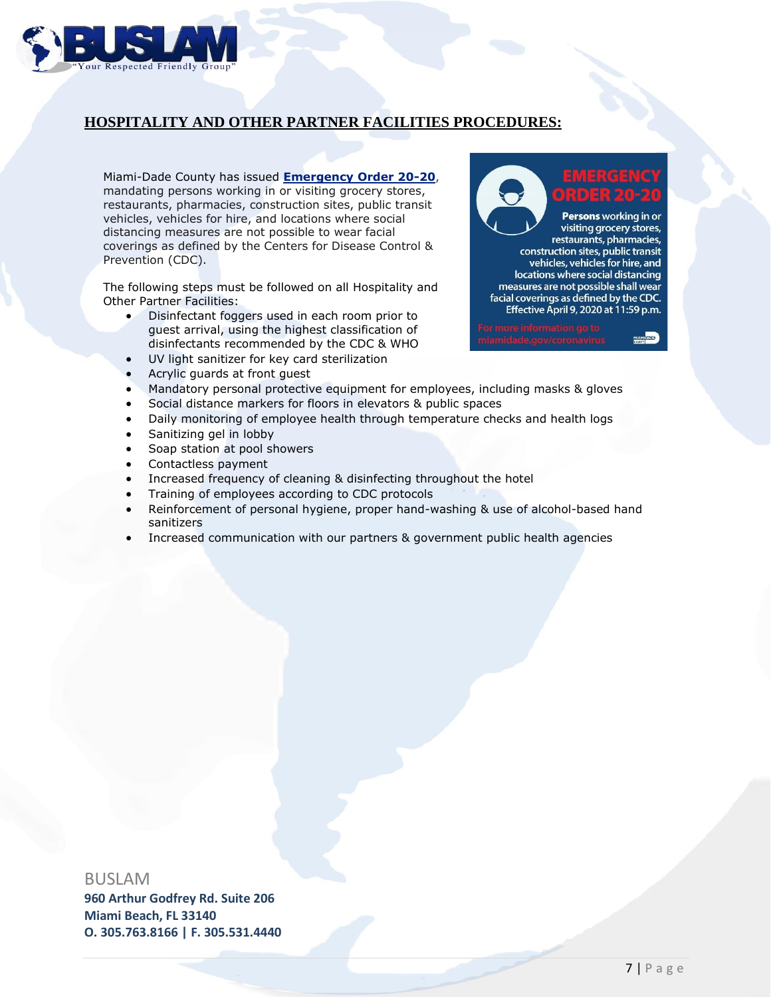

# **HOSPITALITY AND OTHER PARTNER FACILITIES PROCEDURES:**

Miami-Dade County has issued **Emergency Order 20-20**, mandating persons working in or visiting grocery stores, restaurants, pharmacies, construction sites, public transit vehicles, vehicles for hire, and locations where social distancing measures are not possible to wear facial coverings as defined by the Centers for Disease Control & Prevention (CDC).

The following steps must be followed on all Hospitality and Other Partner Facilities:

- Disinfectant foggers used in each room prior to guest arrival, using the highest classification of disinfectants recommended by the CDC & WHO
- UV light sanitizer for key card sterilization
- Acrylic guards at front guest
- Mandatory personal protective equipment for employees, including masks & gloves
- Social distance markers for floors in elevators & public spaces
- Daily monitoring of employee health through temperature checks and health logs
- Sanitizing gel in lobby
- Soap station at pool showers
- Contactless payment
- Increased frequency of cleaning & disinfecting throughout the hotel
- Training of employees according to CDC protocols
- Reinforcement of personal hygiene, proper hand-washing & use of alcohol-based hand sanitizers
- Increased communication with our partners & government public health agencies

### BUSLAM

**960 Arthur Godfrey Rd. Suite 206 Miami Beach, FL 33140 O. 305.763.8166 | F. 305.531.4440**

Persons working in or visiting grocery stores, restaurants, pharmacies, construction sites, public transit vehicles, vehicles for hire, and locations where social distancing measures are not possible shall wear facial coverings as defined by the CDC. Effective April 9, 2020 at 11:59 p.m.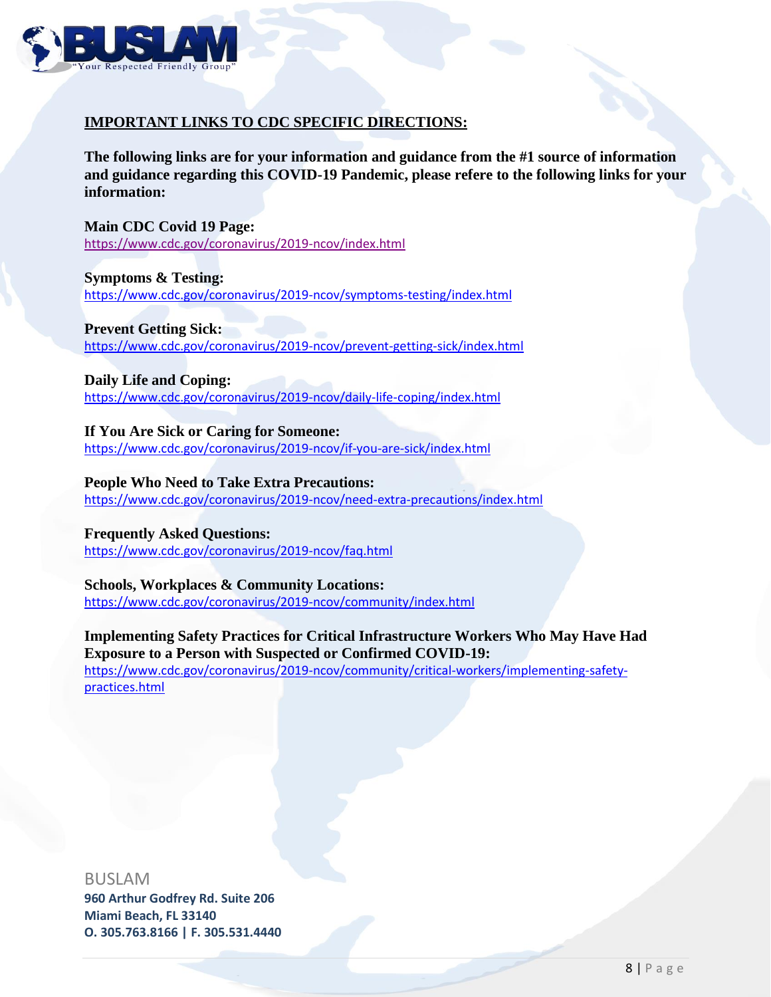

# **IMPORTANT LINKS TO CDC SPECIFIC DIRECTIONS:**

**The following links are for your information and guidance from the #1 source of information and guidance regarding this COVID-19 Pandemic, please refere to the following links for your information:**

**Main CDC Covid 19 Page:** https://www.cdc.gov/coronavirus/2019-ncov/index.html

**Symptoms & Testing:** https://www.cdc.gov/coronavirus/2019-ncov/symptoms-testing/index.html

**Prevent Getting Sick:** https://www.cdc.gov/coronavirus/2019-ncov/prevent-getting-sick/index.html

**Daily Life and Coping:** https://www.cdc.gov/coronavirus/2019-ncov/daily-life-coping/index.html

**If You Are Sick or Caring for Someone:** https://www.cdc.gov/coronavirus/2019-ncov/if-you-are-sick/index.html

**People Who Need to Take Extra Precautions:** https://www.cdc.gov/coronavirus/2019-ncov/need-extra-precautions/index.html

**Frequently Asked Questions:** https://www.cdc.gov/coronavirus/2019-ncov/faq.html

**Schools, Workplaces & Community Locations:** https://www.cdc.gov/coronavirus/2019-ncov/community/index.html

**Implementing Safety Practices for Critical Infrastructure Workers Who May Have Had Exposure to a Person with Suspected or Confirmed COVID-19:** https://www.cdc.gov/coronavirus/2019-ncov/community/critical-workers/implementing-safetypractices.html

BUSLAM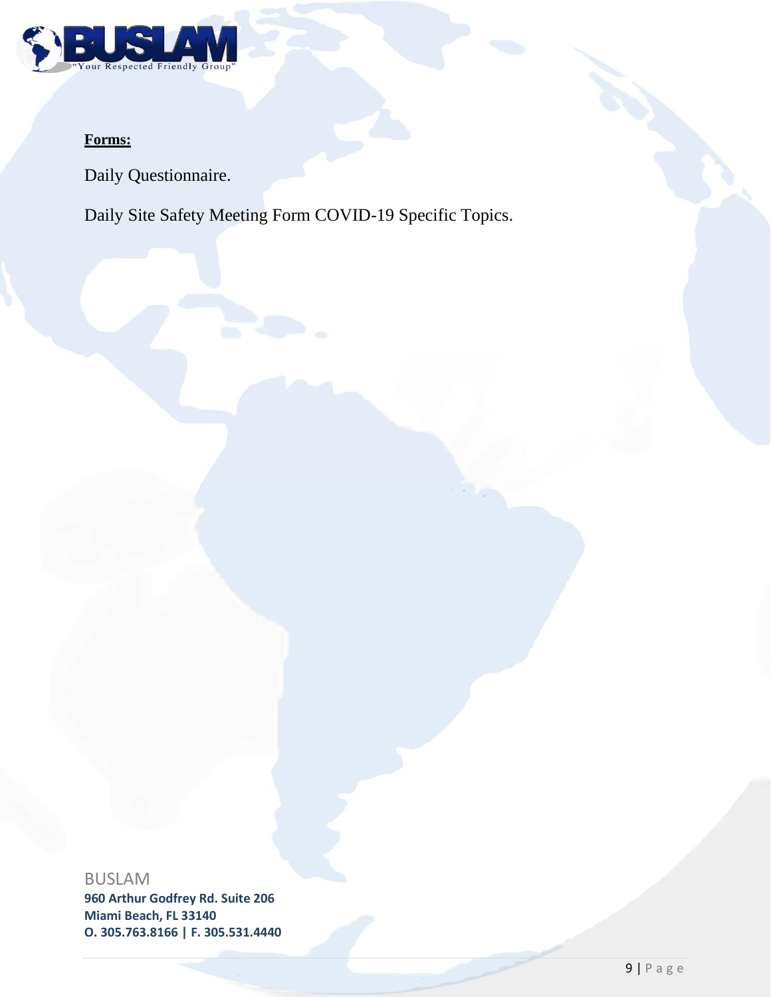

# **Forms:**

Daily Questionnaire.

Daily Site Safety Meeting Form COVID-19 Specific Topics.

BUSLAM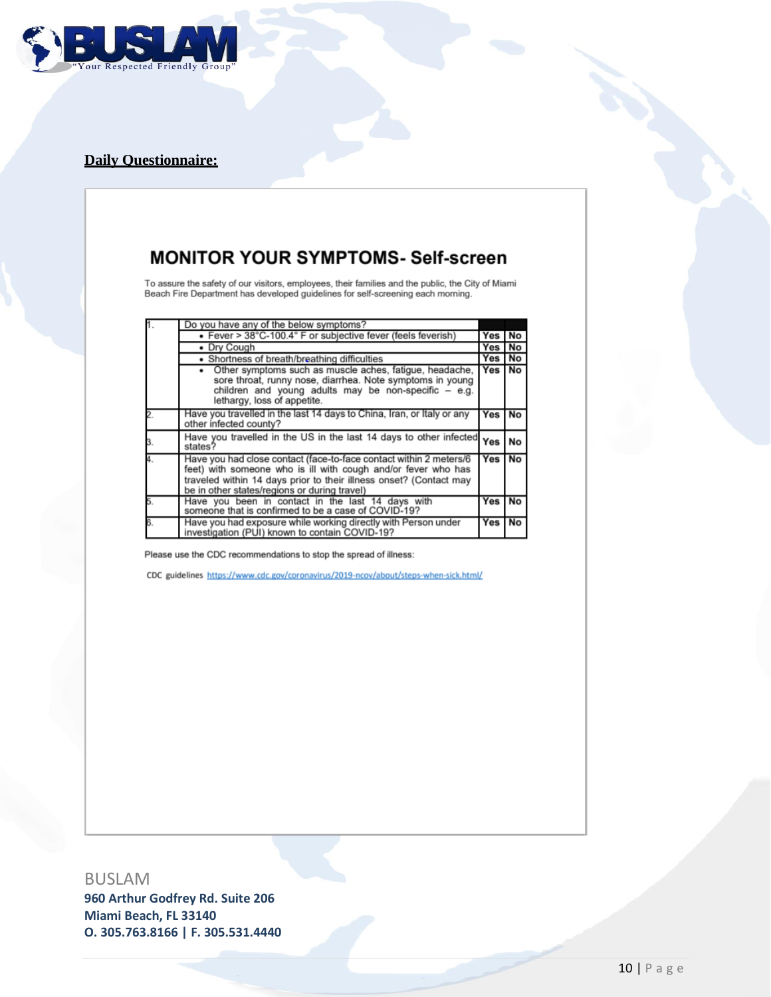

# **Daily Questionnaire:**

# **MONITOR YOUR SYMPTOMS- Self-screen**

To assure the safety of our visitors, employees, their families and the public, the City of Miami<br>Beach Fire Department has developed guidelines for self-screening each morning.

| ſ.                        | Do you have any of the below symptoms?                                                                                                                                                                                                                    |            |    |
|---------------------------|-----------------------------------------------------------------------------------------------------------------------------------------------------------------------------------------------------------------------------------------------------------|------------|----|
|                           | • Fever > 38°C-100.4° F or subjective fever (feels feverish)                                                                                                                                                                                              | Yes No     |    |
|                           | • Dry Cough                                                                                                                                                                                                                                               | Yes No     |    |
|                           | • Shortness of breath/breathing difficulties                                                                                                                                                                                                              | Yes        | No |
|                           | Other symptoms such as muscle aches, fatigue, headache,<br>sore throat, runny nose, diarrhea. Note symptoms in young<br>children and young adults may be non-specific $-$ e.g.<br>lethargy, loss of appetite.                                             | <b>Yes</b> | No |
| $\overline{a}$            | Have you travelled in the last 14 days to China, Iran, or Italy or any<br>other infected county?                                                                                                                                                          | Yes        | No |
| 3.                        | Have you travelled in the US in the last 14 days to other infected Yes<br>states?                                                                                                                                                                         |            | No |
| $\overline{1}$            | Have you had close contact (face-to-face contact within 2 meters/6<br>feet) with someone who is ill with cough and/or fever who has<br>traveled within 14 days prior to their illness onset? (Contact may<br>be in other states/regions or during travel) |            | No |
| $\overline{\phantom{a}}$  | Have you been in contact in the last 14 days with<br>someone that is confirmed to be a case of COVID-19?                                                                                                                                                  | Yes        | No |
| $\overline{\mathbf{3}}$ . | Have you had exposure while working directly with Person under<br>investigation (PUI) known to contain COVID-19?                                                                                                                                          | Yes        | No |

Please use the CDC recommendations to stop the spread of illness:

CDC guidelines https://www.cdc.gov/coronavirus/2019-ncov/about/steps-when-sick.html/

BUSLAM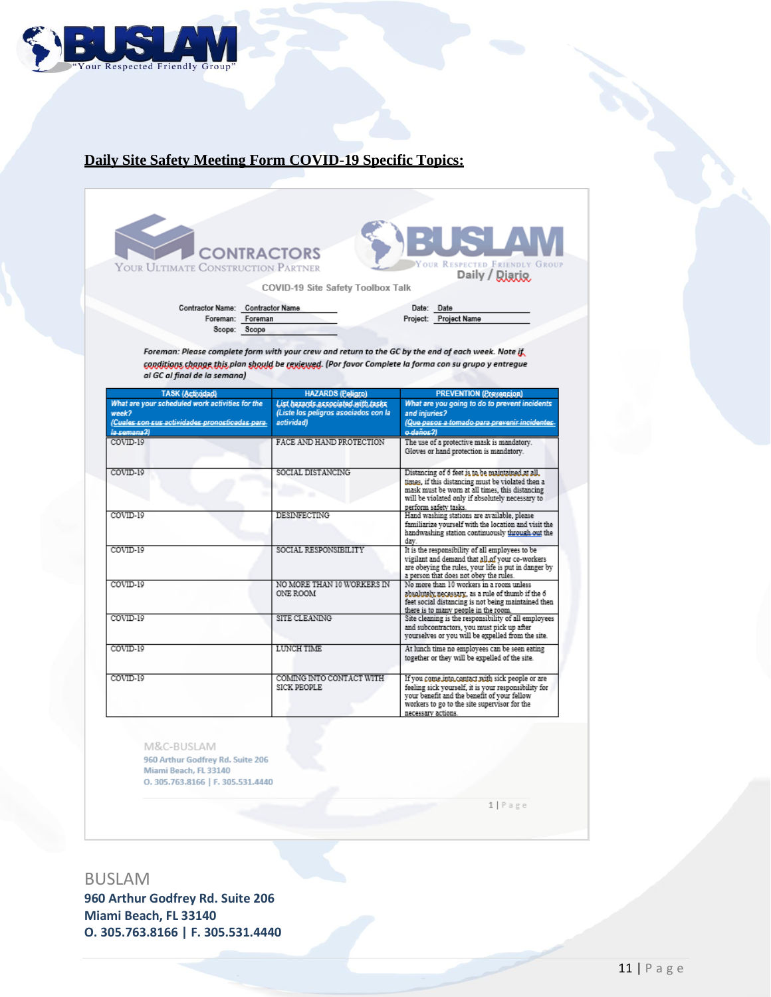

# **Daily Site Safety Meeting Form COVID-19 Specific Topics:**

| <b>CONTRACTORS</b><br>YOUR ULTIMATE CONSTRUCTION PARTNER |                                                                            | EUSIAN<br>YOUR RESPECTED FRIENDLY GROUP<br>Daily / Diario                                                                                                                                                                             |
|----------------------------------------------------------|----------------------------------------------------------------------------|---------------------------------------------------------------------------------------------------------------------------------------------------------------------------------------------------------------------------------------|
|                                                          | COVID-19 Site Safety Toolbox Talk                                          |                                                                                                                                                                                                                                       |
| Contractor Name: Contractor Name                         |                                                                            | Date: Date                                                                                                                                                                                                                            |
| Foreman: Foreman                                         |                                                                            | Project: Project Name                                                                                                                                                                                                                 |
| Scope: Scope                                             |                                                                            |                                                                                                                                                                                                                                       |
| al GC al final de la semana)                             |                                                                            | Foreman: Please complete form with your crew and return to the GC by the end of each week. Note if<br>conditions change this plan should be rexieved. (Por favor Complete la forma con su grupo y entregue                            |
| <b>TASK (Actividad)</b>                                  | <b>HAZARDS</b> (Peligno)                                                   | <b>PREVENTION (Prevension)</b>                                                                                                                                                                                                        |
| What are your scheduled work activities for the<br>week? | List hazards associated with tasks<br>(Liste los peligros asociados con la | What are you going to do to prevent incidents<br>and injuries?                                                                                                                                                                        |
| (Cuales son sus actividades pronosticadas para.          | actividad)                                                                 | (Que pasos a tomado para prevenir incidentes                                                                                                                                                                                          |
| la camana?l                                              |                                                                            | o daños 21                                                                                                                                                                                                                            |
| COVID-19                                                 | FACE AND HAND PROTECTION                                                   | The use of a protective mask is mandatory.<br>Gloves or hand protection is mandatory.                                                                                                                                                 |
| COVID-19                                                 | SOCIAL DISTANCING                                                          | Distancing of 6 feet is to be maintained at all.<br>times, if this distancing must be violated then a<br>mask must be worn at all times, this distancing<br>will be violated only if absolutely necessary to<br>perform safety tasks. |
| COVID-19                                                 | <b>DESINFECTING</b>                                                        | Hand washing stations are available, please<br>familiarize yourself with the location and visit the<br>handwashing station continuously through out the<br>day.                                                                       |
| COVID-19                                                 | SOCIAL RESPONSIBILITY                                                      | It is the responsibility of all employees to be<br>vigilant and demand that all of your co-workers<br>are obeying the rules, your life is put in danger by<br>a person that does not obey the rules.                                  |
| COVID-19                                                 | NO MORE THAN 10 WORKERS IN<br>ONE ROOM                                     | No more than 10 workers in a room unless<br>absolutely necessary, as a rule of thumb if the 6<br>feet social distancing is not being maintained then<br>there is to many people in the room.                                          |
| COVID-19                                                 | SITE CLEANING                                                              | Site cleaning is the responsibility of all employees<br>and subcontractors, you must pick up after<br>vourselves or you will be expelled from the site.                                                                               |
| COVID-19                                                 | <b>LUNCH TIME</b>                                                          | At lunch time no employees can be seen eating<br>together or they will be expelled of the site.                                                                                                                                       |
| COVID-19                                                 | COMING INTO CONTACT WITH<br>SICK PROPLE                                    | If you come into contact with sick people or are<br>feeling sick yourself, it is your responsibility for<br>your benefit and the benefit of your fellow<br>workers to go to the site synamicar for the                                |

M&C-BUSLAM 960 Arthur Godfrey Rd. Suite 206<br>Miami Beach, FL 33140 0.305.763.8166 | F. 305.531.4440

 $1 | P \text{age}$ 

necessary actions.

# BUSLAM